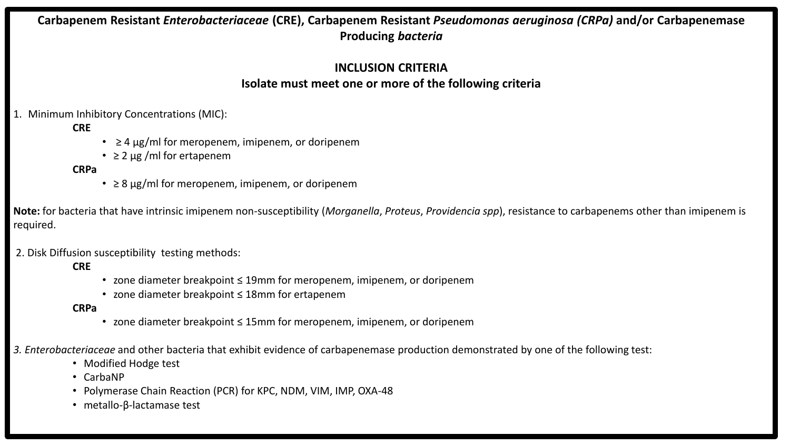# **Carbapenem Resistant** *Enterobacteriaceae* **(CRE), Carbapenem Resistant** *Pseudomonas aeruginosa (CRPa)* **and/or Carbapenemase Producing** *bacteria*

## **INCLUSION CRITERIA Isolate must meet one or more of the following criteria**

1. Minimum Inhibitory Concentrations (MIC):

## **CRE**

- $\geq 4$   $\mu$ g/ml for meropenem, imipenem, or doripenem
- $\cdot$   $\geq$  2 µg /ml for ertapenem

#### **CRPa**

 $\cdot$   $\geq$  8  $\mu$ g/ml for meropenem, imipenem, or doripenem

**Note:** for bacteria that have intrinsic imipenem non-susceptibility (*Morganella*, *Proteus*, *Providencia spp*), resistance to carbapenems other than imipenem is required.

2. Disk Diffusion susceptibility testing methods:

**CRE**

- zone diameter breakpoint ≤ 19mm for meropenem, imipenem, or doripenem
- zone diameter breakpoint ≤ 18mm for ertapenem

#### **CRPa**

- zone diameter breakpoint ≤ 15mm for meropenem, imipenem, or doripenem
- *3. Enterobacteriaceae* and other bacteria that exhibit evidence of carbapenemase production demonstrated by one of the following test:
	- Modified Hodge test
	- CarbaNP
	- Polymerase Chain Reaction (PCR) for KPC, NDM, VIM, IMP, OXA-48
	- metallo-β-lactamase test